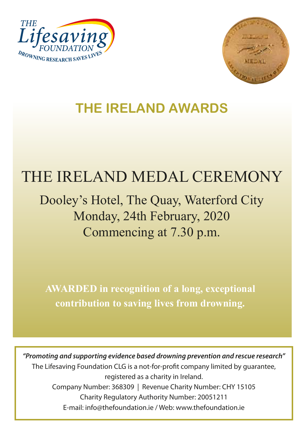



# **THE IRELAND AWARDS**

# THE IRELAND MEDAL CEREMONY

# Dooley's Hotel, The Quay, Waterford City Monday, 24th February, 2020 Commencing at 7.30 p.m.

**AWARDED in recognition of a long, exceptional contribution to saving lives from drowning.**

*"Promoting and supporting evidence based drowning prevention and rescue research"* The Lifesaving Foundation CLG is a not-for-profit company limited by guarantee, registered as a charity in Ireland. Company Number: 368309 | Revenue Charity Number: CHY 15105 Charity Regulatory Authority Number: 20051211 E-mail: info@thefoundation.ie / Web: www.thefoundation.ie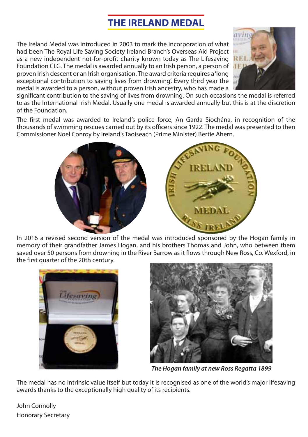#### **THE IRELAND MEDAL**

The Ireland Medal was introduced in 2003 to mark the incorporation of what had been The Royal Life Saving Society Ireland Branch's Overseas Aid Project as a new independent not-for-profit charity known today as The Lifesaving Foundation CLG. The medal is awarded annually to an Irish person, a person of proven Irish descent or an Irish organisation. The award criteria requires a 'long exceptional contribution to saving lives from drowning'. Every third year the medal is awarded to a person, without proven Irish ancestry, who has made a



significant contribution to the saving of lives from drowning. On such occasions the medal is referred to as the International Irish Medal. Usually one medal is awarded annually but this is at the discretion of the Foundation.

The first medal was awarded to Ireland's police force, An Garda Síochána, in recognition of the thousands of swimming rescues carried out by its officers since 1922. The medal was presented to then Commissioner Noel Conroy by Ireland's Taoiseach (Prime Minister) Bertie Ahern.



In 2016 a revised second version of the medal was introduced sponsored by the Hogan family in memory of their grandfather James Hogan, and his brothers Thomas and John, who between them saved over 50 persons from drowning in the River Barrow as it flows through New Ross, Co. Wexford, in the first quarter of the 20th century.





*The Hogan family at new Ross Regatta 1899*

The medal has no intrinsic value itself but today it is recognised as one of the world's major lifesaving awards thanks to the exceptionally high quality of its recipients.

John Connolly Honorary Secretary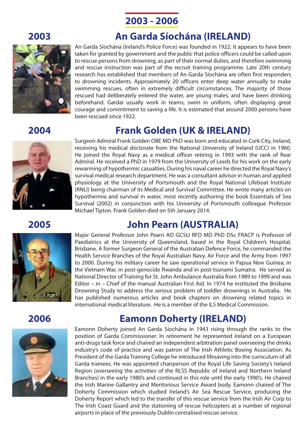#### **2003 An Garda Síochána (IRELAND)**



An Garda Síochána (Ireland's Police Force) was founded in 1922. It appears to have been taken for granted by government and the public that police officers could be called upon to rescue persons from drowning, as part of their normal duties, and therefore swimming and rescue instruction was part of the recruit training programme. Late 20th century research has established that members of An Garda Síochána are often first responders to drowning incidents. Approximately 20 officers enter deep water annually to make swimming rescues, often in extremely difficult circumstances. The majority of those rescued had deliberately entered the water, are young males, and have been drinking beforehand. Gardaí usually work in teams, swim in uniform, often displaying great courage and commitment to saving a life. It is estimated that around 2000 persons have been rescued since 1922.

### **2004 Frank Golden (UK & IRELAND)**

Surgeon Admiral Frank Golden OBE MD PhD was born and educated in Cork City, Ireland, receiving his medical doctorate from the National University of Ireland (UCC) in 1960. He joined the Royal Navy as a medical officer retiring in 1993 with the rank of Rear Admiral. He received a PhD in 1979 from the University of Leeds for his work on the early rewarming of hypothermic casualties. During his naval career he directed the Royal Navy's survival medical research department. He was a consultant advisor in human and applied physiology at the University of Portsmouth and the Royal National Lifeboat Institute (RNLI) being chairman of its Medical and Survival Committee. He wrote many articles on hypothermia and survival in water, most recently authoring the book Essentials of Sea Survival (2002) in conjunction with his University of Portsmouth colleague Professor Michael Tipton. Frank Golden died on 5th January 2014.



### **2005 John Pearn (AUSTRALIA)**

Major General Professor John Pearn AO GCStJ RFD MD PhD DSc FRACP is Professor of Paediatrics at the University of Queensland, based in the Royal Children's Hospital, Brisbane. A former Surgeon General of the Australian Defence Force, he commanded the Health Service Branches of the Royal Australian Navy, Air Force and the Army from 1997 to 2000. During his military career he saw operational service in Papua New Guinea, in the Vietnam War, in post-genocide Rwanda and in post-tsunami Sumatra. He served as National Director of Training for St. John Ambulance Australia from 1989 to 1999 and was Editor – in – Chief of the manual Australian First Aid. In 1974 he instituted the Brisbane Drowning Study to address the serious problem of toddler drownings in Australia. He has published numerous articles and book chapters on drowning related topics in international medical literature. He is a member of the ILS Medical Commission.



#### **2006 Eamonn Doherty (IRELAND)**

Eamonn Doherty joined An Garda Síochána in 1943 rising through the ranks to the position of Garda Commissioner. In retirement he represented Ireland on a European anti-drugs task force and chaired an independent arbitration panel overseeing the drinks industry's code of practice and was patron of The Irish Athletic Boxing Association. As President of the Garda Training College he introduced lifesaving into the curriculum of all Garda trainees. He was appointed chairperson of the Royal Life Saving Society's Ireland Region (overseeing the activities of the RLSS Republic of Ireland and Northern Ireland Branches) in the early 1980's and continued in this role until the early 1990's. He chaired the Irish Marine Gallantry and Meritorious Service Award body. Eamonn chaired of The Doherty Commission which studied Ireland's Air Sea Rescue Service, producing the Doherty Report which led to the transfer of this rescue service from the Irish Air Corp to The Irish Coast Guard and the stationing of rescue helicopters at a number of regional airports in place of the previously Dublin centralised rescue service.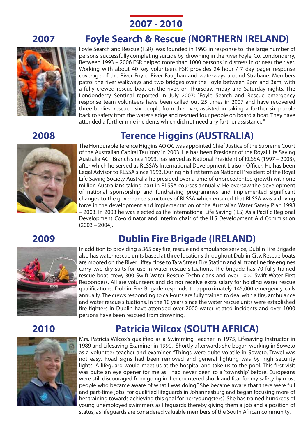

#### **2007 Foyle Search & Rescue (NORTHERN IRELAND)**

Foyle Search and Rescue (FSR) was founded in 1993 in response to the large number of persons successfully completing suicide by drowning in the River Foyle, Co. Londonderry, Between 1993 – 2006 FSR helped more than 1000 persons in distress in or near the river. Working with about 40 key volunteers FSR provides 24 hour / 7 day pager response coverage of the River Foyle, River Faughan and waterways around Strabane. Members patrol the river walkways and two bridges over the Foyle between 9pm and 3am, with a fully crewed rescue boat on the river, on Thursday, Friday and Saturday nights. The Londonderry Sentinal reported in July 2007; "Foyle Search and Rescue emergency response team volunteers have been called out 25 times in 2007 and have recovered three bodies, rescued six people from the river, assisted in taking a further six people back to safety from the water's edge and rescued four people on board a boat. They have attended a further nine incidents which did not need any further assistance."



**2008 Terence Higgins (AUSTRALIA)** The Honourable Terence Higgins AO QC was appointed Chief Justice of the Supreme Court

of the Australian Capital Territory in 2003. He has been President of the Royal Life Saving Australia ACT Branch since 1993, has served as National President of RLSSA (1997 – 2003), after which he served as RLSSA's International Development Liaison Officer. He has been Legal Advisor to RLSSA since 1993. During his first term as National President of the Royal Life Saving Society Australia he presided over a time of unprecedented growth with one million Australians taking part in RLSSA courses annually. He oversaw the development of national sponsorship and fundraising programmes and implemented significant changes to the governance structures of RLSSA which ensured that RLSSA was a driving force in the development and implementation of the Australian Water Safety Plan 1998 – 2003. In 2003 he was elected as the International Life Saving (ILS) Asia Pacific Regional Development Co-ordinator and interim chair of the ILS Development Aid Commission  $(2003 - 2004).$ 



#### **2009 Dublin Fire Brigade (IRELAND)**

In addition to providing a 365 day fire, rescue and ambulance service, Dublin Fire Brigade also has water rescue units based at three locations throughout Dublin City. Rescue boats are moored on the River Liffey close to Tara Street Fire Station and all front line fire engines carry two dry suits for use in water rescue situations. The brigade has 70 fully trained rescue boat crew, 300 Swift Water Rescue Technicians and over 1000 Swift Water First Responders. All are volunteers and do not receive extra salary for holding water rescue qualifications. Dublin Fire Brigade responds to approximately 145,000 emergency calls annually. The crews responding to call-outs are fully trained to deal with a fire, ambulance and water rescue situations. In the 10 years since the water rescue units were established fire fighters in Dublin have attended over 2000 water related incidents and over 1000 persons have been rescued from drowning.



### **2010 Patricia Wilcox (SOUTH AFRICA)**

Mrs. Patricia Wilcox's qualified as a Swimming Teacher in 1975, Lifesaving Instructor in 1989 and Lifesaving Examiner in 1990. Shortly afterwards she began working in Soweto as a volunteer teacher and examiner. "Things were quite volatile in Soweto. Travel was not easy. Road signs had been removed and general lighting was by high security lights. A lifeguard would meet us at the hospital and take us to the pool. This first visit was quite an eye opener for me as I had never been to a 'township' before. Europeans were still discouraged from going in. I encountered shock and fear for my safety by most people who became aware of what I was doing." She became aware that there were full and part-time jobs for qualified lifeguards in Johannesburg and began focusing more of her training towards achieving this goal for her 'youngsters'. She has trained hundreds of young unemployed swimmers as lifeguards thereby giving them a job and a position of status, as lifeguards are considered valuable members of the South African community.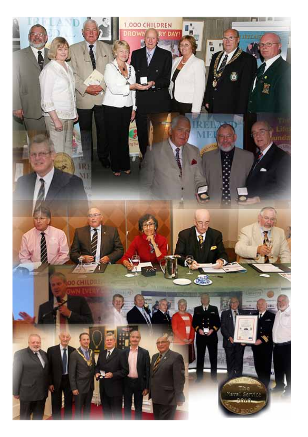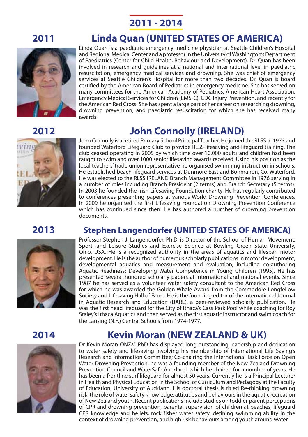

#### **2011 Linda Quan (UNITED STATES OF AMERICA)**

Linda Quan is a paediatric emergency medicine physician at Seattle Children's Hospital and Regional Medical Center and a professor in the University of Washington's Department of Paediatrics (Center for Child Health, Behaviour and Development). Dr. Quan has been involved in research and guidelines at a national and international level in paediatric resuscitation, emergency medical services and drowning. She was chief of emergency services at Seattle Children's Hospital for more than two decades. Dr. Quan is board certified by the American Board of Pediatrics in emergency medicine. She has served on many committees for the American Academy of Pediatrics, American Heart Association, Emergency Medical Services for Children (EMS-C), CDC Injury Prevention, and recently for the American Red Cross. She has spent a large part of her career on researching drowning, drowning prevention, and paediatric resuscitation for which she has received many awards.



#### **2012 John Connolly (IRELAND)**

John Connolly is a retired Primary School Principal Teacher. He joined the RLSS in 1973 and founded Waterford Lifeguard Club to provide RLSS lifesaving and lifeguard training. The club ceased operating in 2005 by which time over 10,000 adults and children had been taught to swim and over 1000 senior lifesaving awards received. Using his position as the local teachers' trade union representative he organised swimming instruction in schools. He established beach lifeguard services at Dunmore East and Bonmahon, Co. Waterford. He was elected to the RLSS IRELAND Branch Management Committee in 1976 serving in a number of roles including Branch President (2 terms) and Branch Secretary (5 terms). In 2003 he founded the Irish Lifesaving Foundation charity. He has regularly contributed to conferences presenting papers at various World Drowning Prevention Conferences. In 2009 he organised the first Lifesaving Foundation Drowning Prevention Conference which has continued since then. He has authored a number of drowning prevention documents.



#### **2013 Stephen Langendorfer (UNITED STATES OF AMERICA)**

Professor Stephen J. Langendorfer, Ph.D. is Director of the School of Human Movement, Sport, and Leisure Studies and Exercise Science at Bowling Green State University, Ohio, USA. He is a recognized authority in the areas of aquatics and lifespan motor development. He is the author of numerous scholarly publications in motor development, developmental aquatics and measurement and evaluation, including co-authoring Aquatic Readiness: Developing Water Competence in Young Children (1995). He has presented several hundred scholarly papers at international and national events. Since 1987 he has served as a volunteer water safety consultant to the American Red Cross for which he was awarded the Golden Whale Award from the Commodore Longfellow Society and Lifesaving Hall of Fame. He is the founding editor of the International Journal in Aquatic Research and Education (IJARE), a peer-reviewed scholarly publication. He was the first head lifeguard for the City of Ithaca's Cass Park Pool while coaching for Roy Staley's Ithaca Aquatics and then served as the first aquatic instructor and swim coach for the Lansing (N.Y.) Central Schools from 1974-1977.



#### **2014 Kevin Moran (NEW ZEALAND & UK)**

Dr Kevin Moran ONZM PhD has displayed long outstanding leadership and dedication to water safety and lifesaving involving his membership of International Life Saving's Research and Information Committee; Co-chairing the International Task Force on Open Water Drowning Prevention; he was a founding member of the New Zealand Drowning Prevention Council and WaterSafe Auckland, which he chaired for a number of years. He has been a frontline surf lifeguard for almost 50 years. Currently he is a Principal Lecturer in Health and Physical Education in the School of Curriculum and Pedagogy at the Faculty of Education, University of Auckland. His doctoral thesis is titled Re-thinking drowning risk: the role of water safety knowledge, attitudes and behaviours in the aquatic recreation of New Zealand youth. Recent publications include studies on toddler parent perceptions of CPR and drowning prevention, parental supervision of children at beaches, lifeguard CPR knowledge and beliefs, rock fisher water safety, defining swimming ability in the context of drowning prevention, and high risk behaviours among youth around water.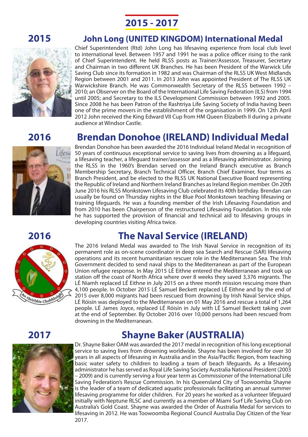

#### **2015 John Long (UNITED KINGDOM) International Medal**

Chief Superintendent (Rtd) John Long has lifesaving experience from local club level to international level. Between 1957 and 1991 he was a police officer rising to the rank of Chief Superintendent. He held RLSS posts as Trainer/Assessor, Treasurer, Secretary and Chairman in two different UK Branches. He has been President of the Warwick Life Saving Club since its formation in 1982 and was Chairman of the RLSS UK West Midlands Region between 2001 and 2011. In 2013 John was appointed President of The RLSS UK Warwickshire Branch. He was Commonwealth Secretary of the RLSS between 1992 – 2010; an Observer on the Board of the International Life Saving Federation (ILS) from 1994 until 2005; and Secretary to the ILS Development Commission between 1992 and 2005. Since 2008 he has been Patron of the Rashtriya Life Saving Society of India having been one of the prime movers in the establishment of the organisation in 1999. On 12th April 2012 John received the King Edward VII Cup from HM Queen Elizabeth II during a private audience at Windsor Castle.

#### **2016 Brendan Donohoe (IRELAND) Individual Medal**



Brendan Donohoe has been awarded the 2016 Individual Ireland Medal in recognition of 50 years of continuous exceptional service to saving lives from drowning as a lifeguard, a lifesaving teacher, a lifeguard trainer/assessor and as a lifesaving administrator. Joining the RLSS in the 1960's Brendan served on the Ireland Branch executive as Branch Membership Secretary, Branch Technical Officer, Branch Chief Examiner, four terms as Branch President, and be elected to the RLSS UK National Executive Board representing the Republic of Ireland and Northern Ireland Branches as Ireland Region member. On 20th June 2016 his RLSS Monkstown Lifesaving Club celebrated its 40th birthday. Brendan can usually be found on Thursday nights in the Blue Pool Monkstown teaching lifesaving or training lifeguards. He was a founding member of the Irish Lifesaving Foundation and from 2010 has been Chairperson of the restructured Lifesaving Foundation. In this role he has supported the provision of financial and technical aid to lifesaving groups in developing countries visiting Africa twice.



**2016 The Naval Service (IRELAND)** The 2016 Ireland Medal was awarded to The Irish Naval Service in recognition of its

permanent role as on-scene coordinator in deep sea Search and Rescue (SAR) lifesaving operations and its recent humanitarian rescuer role in the Mediterranean Sea. The Irish Government decided to send naval ships to the Mediterranean as part of the European Union refugee response. In May 2015 LÉ Eithne entered the Mediterranean and took up station off the coast of North Africa where over 8 weeks they saved 3,376 migrants. The LÉ Niamh replaced LÉ Eithne in July 2015 on a three month mission rescuing more than 4,100 people. In October 2015 LÉ Samuel Beckett replaced LÉ Eithne and by the end of 2015 over 8,000 migrants had been rescued from drowning by Irish Naval Service ships. LÉ Róisín was deployed to the Mediterranean on 01 May 2016 and rescue a total of 1,264 people. LÉ James Joyce, replaced LÉ Róisín in July with LÉ Samuel Beckett taking over at the end of September. By October 2016 over 10,000 persons had been rescued from drowning in the Mediterranean.

### **2017 Shayne Baker (AUSTRALIA)**



Dr. Shayne Baker OAM was awarded the 2017 medal in recognition of his long exceptional service to saving lives from drowning worldwide. Shayne has been involved for over 30 years in all aspects of lifesaving in Australia and in the Asia/Pacific Region, from teaching basic water safety to children to leading a team of beach lifeguards. As a lifesaving administrator he has served as Royal Life Saving Society Australia National President (2003 – 2009) and is currently serving a four year term as Commissioner of the International Life Saving Federation's Rescue Commission. In his Queensland City of Toowoomba Shayne is the leader of a team of dedicated aquatic professionals facilitating an annual summer lifesaving programme for older children. For 20 years he worked as a volunteer lifeguard initially with Neptune RLSC and currently as a member of Miami Surf Life Saving Club on Australia's Gold Coast. Shayne was awarded the Order of Australia Medal for services to lifesaving in 2012. He was Toowoomba Regional Council Australia Day Citizen of the Year 2017.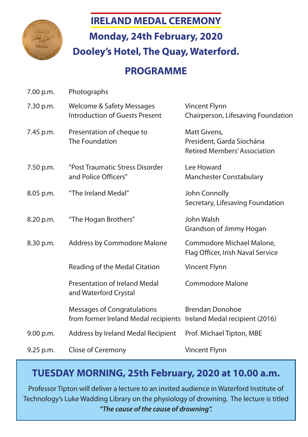

**IRELAND MEDAL CEREMONY**

**Monday, 24th February, 2020 Dooley's Hotel, The Quay, Waterford.**

### **PROGRAMME**

| 7.00 p.m. | Photographs                                                                                        |                                                                           |
|-----------|----------------------------------------------------------------------------------------------------|---------------------------------------------------------------------------|
| 7.30 p.m. | Welcome & Safety Messages<br>Introduction of Guests Present                                        | Vincent Flynn<br>Chairperson, Lifesaving Foundation                       |
| 7.45 p.m. | Presentation of cheque to<br>The Foundation                                                        | Matt Givens,<br>President, Garda Síochána<br>Retired Members' Association |
| 7.50 p.m. | "Post Traumatic Stress Disorder<br>and Police Officers"                                            | Lee Howard<br>Manchester Constabulary                                     |
| 8.05 p.m. | "The Ireland Medal"                                                                                | John Connolly<br>Secretary, Lifesaving Foundation                         |
| 8.20 p.m. | "The Hogan Brothers"                                                                               | John Walsh<br>Grandson of Jimmy Hogan                                     |
| 8.30 p.m. | Address by Commodore Malone                                                                        | Commodore Michael Malone,<br>Flag Officer, Irish Naval Service            |
|           | Reading of the Medal Citation                                                                      | <b>Vincent Flynn</b>                                                      |
|           | Presentation of Ireland Medal<br>and Waterford Crystal                                             | Commodore Malone                                                          |
|           | Messages of Congratulations<br>from former Ireland Medal recipients Ireland Medal recipient (2016) | <b>Brendan Donohoe</b>                                                    |
| 9.00 p.m. | Address by Ireland Medal Recipient                                                                 | Prof. Michael Tipton, MBE                                                 |
| 9.25 p.m. | Close of Ceremony                                                                                  | Vincent Flynn                                                             |
|           |                                                                                                    |                                                                           |

#### **TUESDAY MORNING, 25th February, 2020 at 10.00 a.m.**

Professor Tipton will deliver a lecture to an invited audience in Waterford Institute of Technology's Luke Wadding Library on the physiology of drowning. The lecture is titled *"The cause of the cause of drowning".*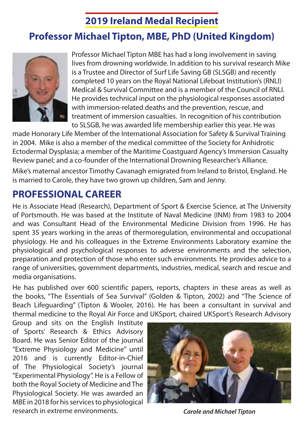### **2019 Ireland Medal Recipient**

### **Professor Michael Tipton, MBE, PhD (United Kingdom)**



Professor Michael Tipton MBE has had a long involvement in saving lives from drowning worldwide. In addition to his survival research Mike is a Trustee and Director of Surf Life Saving GB (SLSGB) and recently completed 10 years on the Royal National Lifeboat Institution's (RNLI) Medical & Survival Committee and is a member of the Council of RNLI. He provides technical input on the physiological responses associated with immersion-related deaths and the prevention, rescue, and treatment of immersion casualties. In recognition of his contribution to SLSGB, he was awarded life membership earlier this year. He was

made Honorary Life Member of the International Association for Safety & Survival Training in 2004. Mike is also a member of the medical committee of the Society for Anhidrotic Ectodermal Dysplasia; a member of the Maritime Coastguard Agency's Immersion Casualty Review panel; and a co-founder of the International Drowning Researcher's Alliance.

Mike's maternal ancestor Timothy Cavanagh emigrated from Ireland to Bristol, England. He is married to Carole, they have two grown up children, Sam and Jenny.

### **PROFESSIONAL CAREER**

He is Associate Head (Research), Department of Sport & Exercise Science, at The University of Portsmouth. He was based at the Institute of Naval Medicine (INM) from 1983 to 2004 and was Consultant Head of the Environmental Medicine Division from 1996. He has spent 35 years working in the areas of thermoregulation, environmental and occupational physiology. He and his colleagues in the Extreme Environments Laboratory examine the physiological and psychological responses to adverse environments and the selection, preparation and protection of those who enter such environments. He provides advice to a range of universities, government departments, industries, medical, search and rescue and media organisations.

He has published over 600 scientific papers, reports, chapters in these areas as well as the books, "The Essentials of Sea Survival" (Golden & Tipton, 2002) and "The Science of Beach Lifeguarding" (Tipton & Wooler, 2016). He has been a consultant in survival and thermal medicine to the Royal Air Force and UKSport, chaired UKSport's Research Advisory

Group and sits on the English Institute of Sports' Research & Ethics Advisory Board. He was Senior Editor of the journal "Extreme Physiology and Medicine" until 2016 and is currently Editor-in-Chief of The Physiological Society's journal "Experimental Physiology". He is a Fellow of both the Royal Society of Medicine and The Physiological Society. He was awarded an MBE in 2018 for his services to physiological research in extreme environments. *Carole and Michael Tipton*

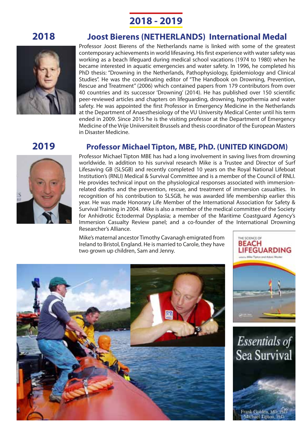

#### **2018 Joost Bierens (NETHERLANDS) International Medal**

Professor Joost Bierens of the Netherlands name is linked with some of the greatest contemporary achievements in world lifesaving. His first experience with water safety was working as a beach lifeguard during medical school vacations (1974 to 1980) when he became interested in aquatic emergencies and water safety. In 1996, he completed his PhD thesis: "Drowning in the Netherlands, Pathophysiology, Epidemiology and Clinical Studies". He was the coordinating editor of "The Handbook on Drowning, Prevention, Rescue and Treatment" (2006) which contained papers from 179 contributors from over 40 countries and its successor 'Drowning' (2014). He has published over 150 scientific peer-reviewed articles and chapters on lifeguarding, drowning, hypothermia and water safety. He was appointed the first Professor in Emergency Medicine in the Netherlands at the Department of Anaesthesiology of the VU University Medical Center until his term ended in 2009. Since 2015 he is the visiting professor at the Department of Emergency Medicine of the Vrije Uniiversiteit Brussels and thesis coordinator of the European Masters in Disaster Medicine.



#### **2019 Professor Michael Tipton, MBE, PhD. (UNITED KINGDOM)**

Professor Michael Tipton MBE has had a long involvement in saving lives from drowning worldwide. In addition to his survival research Mike is a Trustee and Director of Surf Lifesaving GB (SLSGB) and recently completed 10 years on the Royal National Lifeboat Institution's (RNLI) Medical & Survival Committee and is a member of the Council of RNLI. He provides technical input on the physiological responses associated with immersionrelated deaths and the prevention, rescue, and treatment of immersion casualties. In recognition of his contribution to SLSGB, he was awarded life membership earlier this year. He was made Honorary Life Member of the International Association for Safety & Survival Training in 2004. Mike is also a member of the medical committee of the Society for Anhidrotic Ectodermal Dysplasia; a member of the Maritime Coastguard Agency's Immersion Casualty Review panel; and a co-founder of the International Drowning Researcher's Alliance.

> NE SCIENCE OF **BEACH**

**LIFEGUARDING** 

Mike's maternal ancestor Timothy Cavanagh emigrated from Ireland to Bristol, England. He is married to Carole, they have two grown up children, Sam and Jenny.

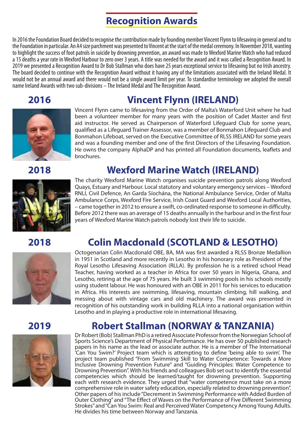#### **Recognition Awards**

In 2016 the Foundation Board decided to recognise the contribution made by founding member Vincent Flynn to lifesaving in general and to the Foundation in particular. An A4 size parchment was presented to Vincent at the start of the medal ceremony. In November 2018, wanting to highlight the success of foot patrols in suicide by drowning prevention, an award was made to Wexford Marine Watch who had reduced a 15 deaths a year rate in Wexford Harbour to zero over 3 years. A title was needed for the award and it was called a Recognition Award. In 2019 we presented a Recognition Award to Dr Bob Stallman who does have 25 years exceptional service to lifesaving but no Irish ancestry. The board decided to continue with the Recognition Award without it having any of the limitations associated with the Ireland Medal. It would not be an annual award and there would not be a single award limit per year. To standardise terminology we adopted the overall name Ireland Awards with two sub-divisions – The Ireland Medal and The Recognition Award.

#### **2016 Vincent Flynn (IRELAND)**



Vincent Flynn came to lifesaving from the Order of Malta's Waterford Unit where he had been a volunteer member for many years with the position of Cadet Master and first aid instructor. He served as Chairperson of Waterford Lifeguard Club for some years, qualified as a Lifeguard Trainer Assessor, was a member of Bonmahon Lifeguard Club and Bonmahon Lifeboat, served on the Executive Committee of RLSS IRELAND for some years and was a founding member and one of the first Directors of the Lifesaving Foundation. He owns the company AlphaDP and has printed all Foundation documents, leaflets and brochures.



# **2018 Wexford Marine Watch (IRELAND)**

The charity Wexford Marine Watch organises suicide prevention patrols along Wexford Quays, Estuary and Harbour. Local statutory and voluntary emergency services – Wexford RNLI, Civil Defence, An Garda Síochána, the National Ambulance Service, Order of Malta Ambulance Corps, Wexford Fire Service, Irish Coast Guard and Wexford Local Authorities, – came together in 2012 to ensure a swift, co-ordinated response to someone in difficulty. Before 2012 there was an average of 15 deaths annually in the harbour and in the first four years of Wexford Marine Watch patrols nobody lost their life to suicide.

#### **2018 Colin Macdonald (SCOTLAND & LESOTHO)**



Octogenarian Colin Macdonald OBE, BA, MA was first awarded a RLSS Bronze Medallion in 1951 in Scotland and more recently in Lesotho in his honorary role as President of the Royal Lesotho Lifesaving Association (RLLA). By profession he is a retired school Head Teacher, having worked as a teacher in Africa for over 50 years in Nigeria, Ghana, and Lesotho, retiring at the age of 75 years. He built 3 swimming pools in his schools mostly using student labour. He was honoured with an OBE in 2011 for his services to education in Africa. His interests are swimming, lifesaving, mountain climbing, hill walking, and messing about with vintage cars and old machinery. The award was presented in recognition of his outstanding work in building RLLA into a national organisation within Lesotho and in playing a productive role in international lifesaving.



#### **2019 Robert Stallman (NORWAY & TANZANIA)**

Dr Robert (Bob) Stallman PhD is a retired Associate Professor from the Norwegian School of Sports Science's Department of Physical Performance. He has over 50 published research papers in his name as the lead or associate author. He is a member of The International 'Can You Swim?' Project team which is attempting to define 'being able to swim'. The project team published "From Swimming Skill to Water Competence: Towards a More Inclusive Drowning Prevention Future" and "Guiding Principles: Water Competence to Drowning Prevention". With his friends and colleagues Bob set out to identify the essential competencies which should be learned/taught for drowning prevention. Supporting each with research evidence. They urged that "water competence must take on a more comprehensive role in water safety education, especially related to drowning prevention". Other papers of his include "Decrement in Swimming Performance with Added Burden of Outer Clothing" and "The Effect of Waves on the Performance of Five Different Swimming Strokes" and "Can You Swim: Real and Perceived Water Competency Among Young Adults. He divides his time between Norway and Tanzania.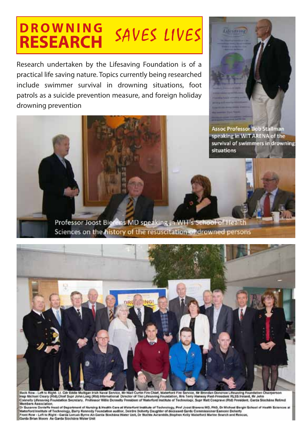## **DROWNING RESEARCH** SAVES LIVES

Research undertaken by the Lifesaving Foundation is of a practical life saving nature. Topics currently being researched include swimmer survival in drowning situations, foot patrols as a suicide prevention measure, and foreign holiday drowning prevention

> **Assoc Professor Bob Stallman** speaking in WIT ARENA of the survival of swimmers in drowning situations

Liferavine

Professor Joost Bierens MD speaking in WIT's School of Health Sciences on the history of the resuscitation or drowned persons



Back Row - Left to Right- Lt. Cdr Eddie Mulligan Insh Naval Service, Mr Niat Curtin Fire Chief, Waterford Fire Service, Mr Brandan Dononce Lifesaving Foundation C<br>Insp Nichael Cleary (Rid) Chief Suor John Long (Rid) Intern saving Foundation Charry nnelly Lifesaving Foundation Secretary. Professor Willie Donnelly President of Waterford Institute of Technology, Supr Matt Cosgrave (Rtd) President, Garda Slochâns Retired Members Association.

Members Association,<br>Dr Susanes Denielfer Head of Department of Nursing & Neath Cars at Waterford Institute of Technology, Prof Josef Biennes MD, PRD, Dr Michael Bergin Sc<br>Waterford Institute of Technology, Barry Kennedy F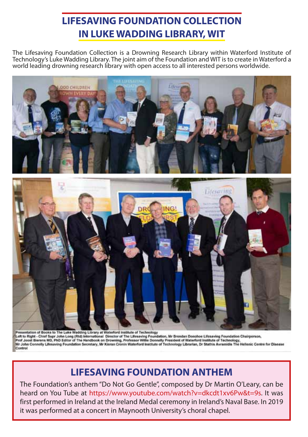### **LIFESAVING FOUNDATION COLLECTION IN LUKE WADDING LIBRARY, WIT**

The Lifesaving Foundation Collection is a Drowning Research Library within Waterford Institute of Technology's Luke Wadding Library. The joint aim of the Foundation and WIT is to create in Waterford a world leading drowning research library with open access to all interested persons worldwide.



Presentation of Books to The Luke Wadding Library at Waterford Institute of Technology Presentation or sooss to the Lawe watoney Lionery at Watertoro institute or tecnscorpy.<br>Pref Joost Bierens MD, PhD Editor of The Handbook on Drowning, Professor Willie Domelly President of Waterford<br>The John Connoily Life Control

#### **LIFESAVING FOUNDATION ANTHEM**

The Foundation's anthem "Do Not Go Gentle", composed by Dr Martin O'Leary, can be heard on You Tube at https://www.youtube.com/watch?v=dkcdt1xv6Pw&t=9s. It was first performed in Ireland at the Ireland Medal ceremony in Ireland's Naval Base. In 2019 it was performed at a concert in Maynooth University's choral chapel.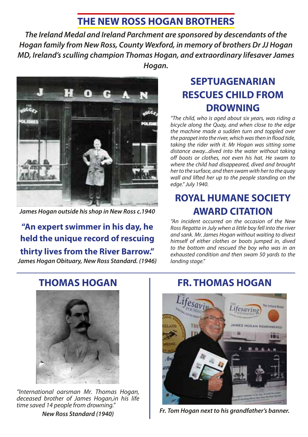### **THE NEW ROSS HOGAN BROTHERS**

*The Ireland Medal and Ireland Parchment are sponsored by descendants of the Hogan family from New Ross, County Wexford, in memory of brothers Dr JJ Hogan MD, Ireland's sculling champion Thomas Hogan, and extraordinary lifesaver James Hogan.*



*James Hogan outside his shop in New Ross c.1940*

**"An expert swimmer in his day, he held the unique record of rescuing thirty lives from the River Barrow."** *James Hogan Obituary, New Ross Standard. (1946)*

### **SEPTUAGENARIAN RESCUES CHILD FROM DROWNING**

*"The child, who is aged about six years, was riding a bicycle along the Quay, and when close to the edge the machine made a sudden turn and toppled over the parapet into the river, which was then in flood tide, taking the rider with it. Mr Hogan was sitting some distance away...dived into the water without taking off boots or clothes, not even his hat. He swam to where the child had disappeared, dived and brought her to the surface, and then swam with her to the quay wall and lifted her up to the people standing on the edge." July 1940.*

### **ROYAL HUMANE SOCIETY AWARD CITATION**

*"An incident occurred on the occasion of the New Ross Regatta in July when a little boy fell into the river and sank. Mr. James Hogan without waiting to divest himself of either clothes or boots jumped in, dived to the bottom and rescued the boy who was in an exhausted condition and then swam 50 yards to the landing stage."*

#### **THOMAS HOGAN**



*"International oarsman Mr. Thomas Hogan, deceased brother of James Hogan,in his life time saved 14 people from drowning."*

*New Ross Standard (1940)*

#### **FR. THOMAS HOGAN**



*Fr. Tom Hogan next to his grandfather's banner.*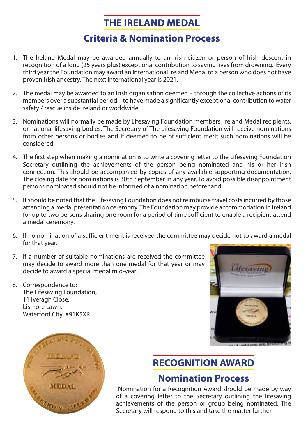#### **THE IRELAND MEDAL**

#### **Criteria & Nomination Process**

- 1. The Ireland Medal may be awarded annually to an Irish citizen or person of Irish descent in recognition of a long (25 years plus) exceptional contribution to saving lives from drowning. Every third year the Foundation may award an International Ireland Medal to a person who does not have proven Irish ancestry. The next international year is 2021.
- 2. The medal may be awarded to an Irish organisation deemed through the collective actions of its members over a substantial period – to have made a significantly exceptional contribution to water safety / rescue inside Ireland or worldwide.
- 3. Nominations will normally be made by Lifesaving Foundation members, Ireland Medal recipients, or national lifesaving bodies. The Secretary of The Lifesaving Foundation will receive nominations from other persons or bodies and if deemed to be of sufficient merit such nominations will be considered.
- 4. The first step when making a nomination is to write a covering letter to the Lifesaving Foundation Secretary outlining the achievements of the person being nominated and his or her Irish connection. This should be accompanied by copies of any available supporting documentation. The closing date for nominations is 30th September in any year. To avoid possible disappointment persons nominated should not be informed of a nomination beforehand.
- 5. It should be noted that the Lifesaving Foundation does not reimburse travel costs incurred by those attending a medal presentation ceremony. The Foundation may provide accommodation in Ireland for up to two persons sharing one room for a period of time sufficient to enable a recipient attend a medal ceremony.
- 6. If no nomination of a sufficient merit is received the committee may decide not to award a medal for that year.
- 7. If a number of suitable nominations are received the committee may decide to award more than one medal for that year or may decide to award a special medal mid-year.
- 8. Correspondence to: The Lifesaving Foundation, 11 Iveragh Close, Lismore Lawn, Waterford City, X91K5XR





### **RECOGNITION AWARD Nomination Process**

Nomination for a Recognition Award should be made by way of a covering letter to the Secretary outlining the lifesaving achievements of the person or group being nominated. The Secretary will respond to this and take the matter further.